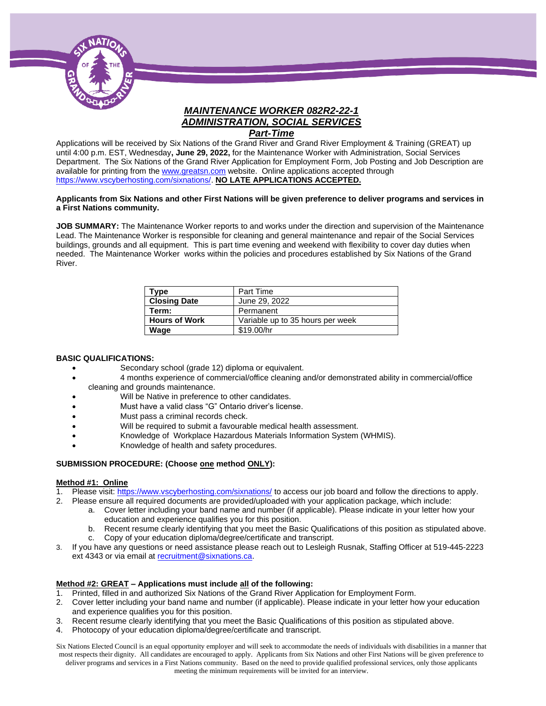

# *MAINTENANCE WORKER 082R2-22-1 ADMINISTRATION, SOCIAL SERVICES*

#### *Part-Time*

Applications will be received by Six Nations of the Grand River and Grand River Employment & Training (GREAT) up until 4:00 p.m. EST, Wednesday**, June 29, 2022,** for the Maintenance Worker with Administration, Social Services Department. The Six Nations of the Grand River Application for Employment Form, Job Posting and Job Description are available for printing from th[e www.greatsn.com](http://www.greatsn.com/) website. Online applications accepted through [https://www.vscyberhosting.com/sixnations/.](https://www.vscyberhosting.com/sixnations/) **NO LATE APPLICATIONS ACCEPTED.**

#### **Applicants from Six Nations and other First Nations will be given preference to deliver programs and services in a First Nations community.**

**JOB SUMMARY:** The Maintenance Worker reports to and works under the direction and supervision of the Maintenance Lead. The Maintenance Worker is responsible for cleaning and general maintenance and repair of the Social Services buildings, grounds and all equipment. This is part time evening and weekend with flexibility to cover day duties when needed. The Maintenance Worker works within the policies and procedures established by Six Nations of the Grand River.

| Type                 | Part Time                        |
|----------------------|----------------------------------|
| <b>Closing Date</b>  | June 29, 2022                    |
| Term:                | Permanent                        |
| <b>Hours of Work</b> | Variable up to 35 hours per week |
| Waqe                 | \$19.00/hr                       |

#### **BASIC QUALIFICATIONS:**

- Secondary school (grade 12) diploma or equivalent.
- 4 months experience of commercial/office cleaning and/or demonstrated ability in commercial/office cleaning and grounds maintenance.
- Will be Native in preference to other candidates.
- Must have a valid class "G" Ontario driver's license.
- Must pass a criminal records check.
- Will be required to submit a favourable medical health assessment.
- Knowledge of Workplace Hazardous Materials Information System (WHMIS).
- Knowledge of health and safety procedures.

#### **SUBMISSION PROCEDURE: (Choose one method ONLY):**

#### **Method #1: Online**

- 1. Please visit[: https://www.vscyberhosting.com/sixnations/](https://www.vscyberhosting.com/sixnations/) to access our job board and follow the directions to apply.
- 2. Please ensure all required documents are provided/uploaded with your application package, which include:
	- a. Cover letter including your band name and number (if applicable). Please indicate in your letter how your education and experience qualifies you for this position.
	- b. Recent resume clearly identifying that you meet the Basic Qualifications of this position as stipulated above.
	- c. Copy of your education diploma/degree/certificate and transcript.
- 3. If you have any questions or need assistance please reach out to Lesleigh Rusnak, Staffing Officer at 519-445-2223 ext 4343 or via email a[t recruitment@sixnations.ca.](mailto:StaffHR@sixnations.ca)

#### **Method #2: GREAT – Applications must include all of the following:**

- Printed, filled in and authorized Six Nations of the Grand River Application for Employment Form.
- 2. Cover letter including your band name and number (if applicable). Please indicate in your letter how your education and experience qualifies you for this position.
- 3. Recent resume clearly identifying that you meet the Basic Qualifications of this position as stipulated above.
- 4. Photocopy of your education diploma/degree/certificate and transcript.

Six Nations Elected Council is an equal opportunity employer and will seek to accommodate the needs of individuals with disabilities in a manner that most respects their dignity. All candidates are encouraged to apply. Applicants from Six Nations and other First Nations will be given preference to deliver programs and services in a First Nations community. Based on the need to provide qualified professional services, only those applicants meeting the minimum requirements will be invited for an interview.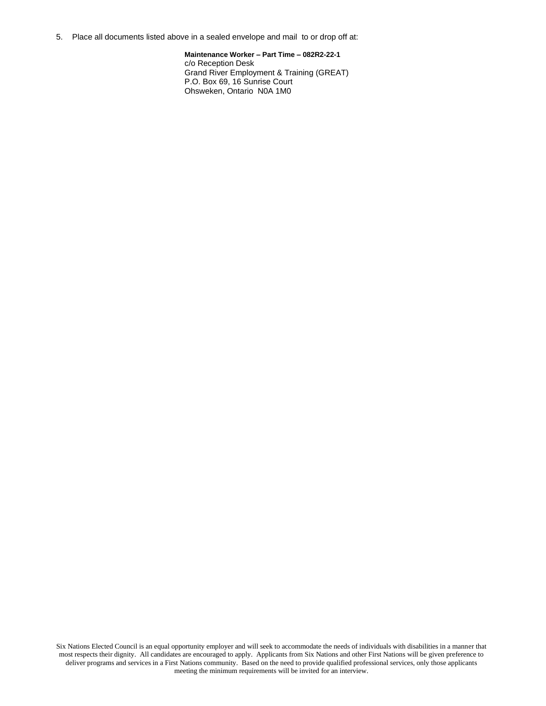5. Place all documents listed above in a sealed envelope and mail to or drop off at:

**Maintenance Worker – Part Time – 082R2-22-1**  c/o Reception Desk Grand River Employment & Training (GREAT) P.O. Box 69, 16 Sunrise Court Ohsweken, Ontario N0A 1M0

Six Nations Elected Council is an equal opportunity employer and will seek to accommodate the needs of individuals with disabilities in a manner that most respects their dignity. All candidates are encouraged to apply. Applicants from Six Nations and other First Nations will be given preference to deliver programs and services in a First Nations community. Based on the need to provide qualified professional services, only those applicants meeting the minimum requirements will be invited for an interview.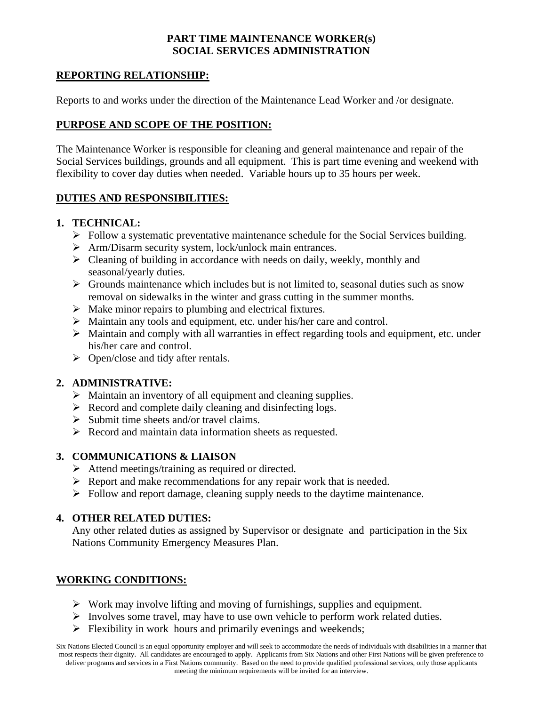#### **PART TIME MAINTENANCE WORKER(s) SOCIAL SERVICES ADMINISTRATION**

## **REPORTING RELATIONSHIP:**

Reports to and works under the direction of the Maintenance Lead Worker and /or designate.

# **PURPOSE AND SCOPE OF THE POSITION:**

The Maintenance Worker is responsible for cleaning and general maintenance and repair of the Social Services buildings, grounds and all equipment. This is part time evening and weekend with flexibility to cover day duties when needed. Variable hours up to 35 hours per week.

#### **DUTIES AND RESPONSIBILITIES:**

#### **1. TECHNICAL:**

- ➢ Follow a systematic preventative maintenance schedule for the Social Services building.
- ➢ Arm/Disarm security system, lock/unlock main entrances.
- ➢ Cleaning of building in accordance with needs on daily, weekly, monthly and seasonal/yearly duties.
- ➢ Grounds maintenance which includes but is not limited to, seasonal duties such as snow removal on sidewalks in the winter and grass cutting in the summer months.
- ➢ Make minor repairs to plumbing and electrical fixtures.
- ➢ Maintain any tools and equipment, etc. under his/her care and control.
- ➢ Maintain and comply with all warranties in effect regarding tools and equipment, etc. under his/her care and control.
- ➢ Open/close and tidy after rentals.

## **2. ADMINISTRATIVE:**

- ➢ Maintain an inventory of all equipment and cleaning supplies.
- ➢ Record and complete daily cleaning and disinfecting logs.
- ➢ Submit time sheets and/or travel claims.
- ➢ Record and maintain data information sheets as requested.

## **3. COMMUNICATIONS & LIAISON**

- ➢ Attend meetings/training as required or directed.
- ➢ Report and make recommendations for any repair work that is needed.
- ➢ Follow and report damage, cleaning supply needs to the daytime maintenance.

## **4. OTHER RELATED DUTIES:**

Any other related duties as assigned by Supervisor or designate and participation in the Six Nations Community Emergency Measures Plan.

## **WORKING CONDITIONS:**

- ➢ Work may involve lifting and moving of furnishings, supplies and equipment.
- ➢ Involves some travel, may have to use own vehicle to perform work related duties.
- $\triangleright$  Flexibility in work hours and primarily evenings and weekends;

Six Nations Elected Council is an equal opportunity employer and will seek to accommodate the needs of individuals with disabilities in a manner that most respects their dignity. All candidates are encouraged to apply. Applicants from Six Nations and other First Nations will be given preference to deliver programs and services in a First Nations community. Based on the need to provide qualified professional services, only those applicants meeting the minimum requirements will be invited for an interview.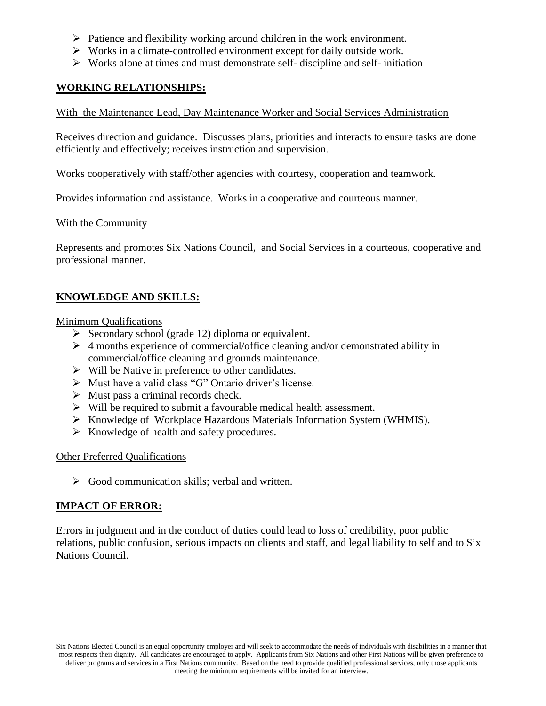- ➢ Patience and flexibility working around children in the work environment.
- ➢ Works in a climate-controlled environment except for daily outside work.
- $\triangleright$  Works alone at times and must demonstrate self- discipline and self- initiation

#### **WORKING RELATIONSHIPS:**

With the Maintenance Lead, Day Maintenance Worker and Social Services Administration

Receives direction and guidance. Discusses plans, priorities and interacts to ensure tasks are done efficiently and effectively; receives instruction and supervision.

Works cooperatively with staff/other agencies with courtesy, cooperation and teamwork.

Provides information and assistance. Works in a cooperative and courteous manner.

#### With the Community

Represents and promotes Six Nations Council, and Social Services in a courteous, cooperative and professional manner.

# **KNOWLEDGE AND SKILLS:**

Minimum Qualifications

- $\triangleright$  Secondary school (grade 12) diploma or equivalent.
- $\triangleright$  4 months experience of commercial/office cleaning and/or demonstrated ability in commercial/office cleaning and grounds maintenance.
- ➢ Will be Native in preference to other candidates.
- ➢ Must have a valid class "G" Ontario driver's license.
- $\triangleright$  Must pass a criminal records check.
- ➢ Will be required to submit a favourable medical health assessment.
- ➢ Knowledge of Workplace Hazardous Materials Information System (WHMIS).
- ➢ Knowledge of health and safety procedures.

#### Other Preferred Qualifications

➢ Good communication skills; verbal and written.

#### **IMPACT OF ERROR:**

Errors in judgment and in the conduct of duties could lead to loss of credibility, poor public relations, public confusion, serious impacts on clients and staff, and legal liability to self and to Six Nations Council.